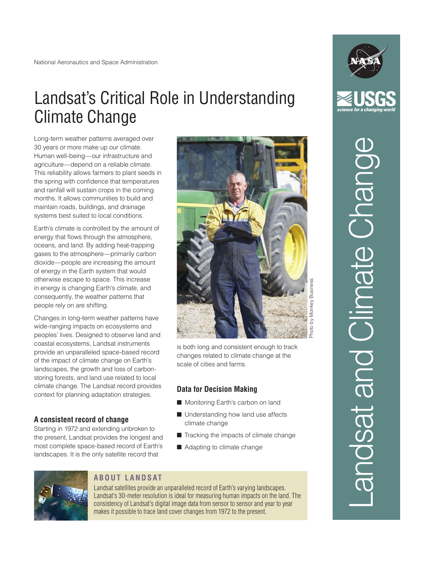# Landsat's Critical Role in Understanding Climate Change

Long-term weather patterns averaged over 30 years or more make up our climate. Human well-being—our infrastructure and agriculture—depend on a reliable climate. This reliability allows farmers to plant seeds in the spring with confidence that temperatures and rainfall will sustain crops in the coming months. It allows communities to build and maintain roads, buildings, and drainage systems best suited to local conditions.

Earth's climate is controlled by the amount of energy that flows through the atmosphere, oceans, and land. By adding heat-trapping gases to the atmosphere—primarily carbon dioxide—people are increasing the amount of energy in the Earth system that would otherwise escape to space. This increase in energy is changing Earth's climate, and consequently, the weather patterns that people rely on are shifting.

Changes in long-term weather patterns have wide-ranging impacts on ecosystems and peoples' lives. Designed to observe land and coastal ecosystems, Landsat instruments provide an unparalleled space-based record of the impact of climate change on Earth's landscapes, the growth and loss of carbonstoring forests, and land use related to local climate change. The Landsat record provides context for planning adaptation strategies.

# **A consistent record of change**

Starting in 1972 and extending unbroken to the present, Landsat provides the longest and most complete space-based record of Earth's landscapes. It is the only satellite record that



is both long and consistent enough to track changes related to climate change at the scale of cities and farms.

### **Data for Decision Making**

- **n** Monitoring Earth's carbon on land
- $\blacksquare$  Understanding how land use affects climate change
- $\blacksquare$  Tracking the impacts of climate change
- $\blacksquare$  Adapting to climate change



# **ABOUT LANDSAT**

Landsat satellites provide an unparalleled record of Earth's varying landscapes. Landsat's 30-meter resolution is ideal for measuring human impacts on the land. The consistency of Landsat's digital image data from sensor to sensor and year to year makes it possible to trace land cover changes from 1972 to the present.



# Landsat and Climate Change andsat and Climate Chand